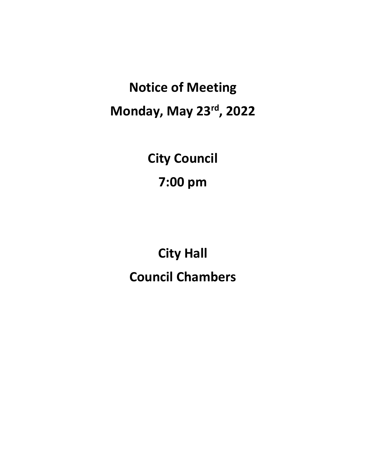**Notice of Meeting Monday, May 23rd , 2022**

> **City Council 7:00 pm**

**City Hall Council Chambers**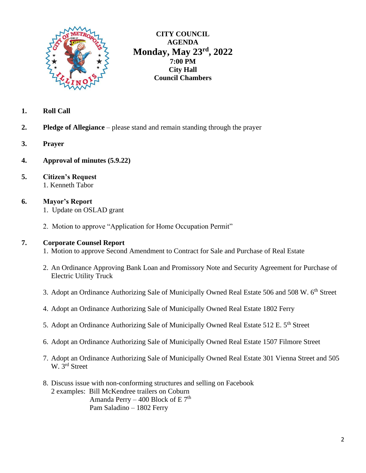

**CITY COUNCIL AGENDA Monday, May 23rd , 2022 7:00 PM City Hall Council Chambers**

- **1. Roll Call**
- **2. Pledge of Allegiance** please stand and remain standing through the prayer
- **3. Prayer**
- **4. Approval of minutes (5.9.22)**
- **5. Citizen's Request** 1. Kenneth Tabor

# **6. Mayor's Report**

- 1. Update on OSLAD grant
- 2. Motion to approve "Application for Home Occupation Permit"

#### **7. Corporate Counsel Report**

- 1. Motion to approve Second Amendment to Contract for Sale and Purchase of Real Estate
- 2. An Ordinance Approving Bank Loan and Promissory Note and Security Agreement for Purchase of Electric Utility Truck
- 3. Adopt an Ordinance Authorizing Sale of Municipally Owned Real Estate 506 and 508 W. 6<sup>th</sup> Street
- 4. Adopt an Ordinance Authorizing Sale of Municipally Owned Real Estate 1802 Ferry
- 5. Adopt an Ordinance Authorizing Sale of Municipally Owned Real Estate 512 E. 5<sup>th</sup> Street
- 6. Adopt an Ordinance Authorizing Sale of Municipally Owned Real Estate 1507 Filmore Street
- 7. Adopt an Ordinance Authorizing Sale of Municipally Owned Real Estate 301 Vienna Street and 505 W. 3<sup>rd</sup> Street
- 8. Discuss issue with non-conforming structures and selling on Facebook 2 examples: Bill McKendree trailers on Coburn Amanda Perry – 400 Block of E  $7<sup>th</sup>$ Pam Saladino – 1802 Ferry